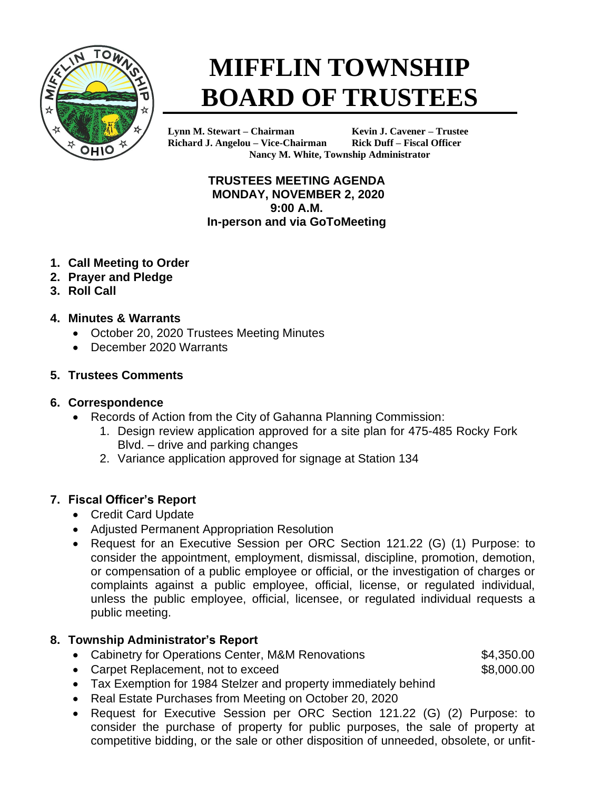

# **MIFFLIN TOWNSHIP BOARD OF TRUSTEES**

**Lynn M. Stewart – Chairman Kevin J. Cavener – Trustee Richard J. Angelou – Vice-Chairman Rick Duff – Fiscal Officer Nancy M. White, Township Administrator**

> **TRUSTEES MEETING AGENDA MONDAY, NOVEMBER 2, 2020 9:00 A.M. In-person and via GoToMeeting**

- **1. Call Meeting to Order**
- **2. Prayer and Pledge**
- **3. Roll Call**
- **4. Minutes & Warrants**
	- October 20, 2020 Trustees Meeting Minutes
	- December 2020 Warrants

#### **5. Trustees Comments**

#### **6. Correspondence**

- Records of Action from the City of Gahanna Planning Commission:
	- 1. Design review application approved for a site plan for 475-485 Rocky Fork Blvd. – drive and parking changes
	- 2. Variance application approved for signage at Station 134

### **7. Fiscal Officer's Report**

- Credit Card Update
- Adjusted Permanent Appropriation Resolution
- Request for an Executive Session per ORC Section 121.22 (G) (1) Purpose: to consider the appointment, employment, dismissal, discipline, promotion, demotion, or compensation of a public employee or official, or the investigation of charges or complaints against a public employee, official, license, or regulated individual, unless the public employee, official, licensee, or regulated individual requests a public meeting.

### **8. Township Administrator's Report**

• Cabinetry for Operations Center, M&M Renovations **\$4,350.00** 

• Carpet Replacement, not to exceed \$8,000.00

- Tax Exemption for 1984 Stelzer and property immediately behind
- Real Estate Purchases from Meeting on October 20, 2020
- Request for Executive Session per ORC Section 121.22 (G) (2) Purpose: to consider the purchase of property for public purposes, the sale of property at competitive bidding, or the sale or other disposition of unneeded, obsolete, or unfit-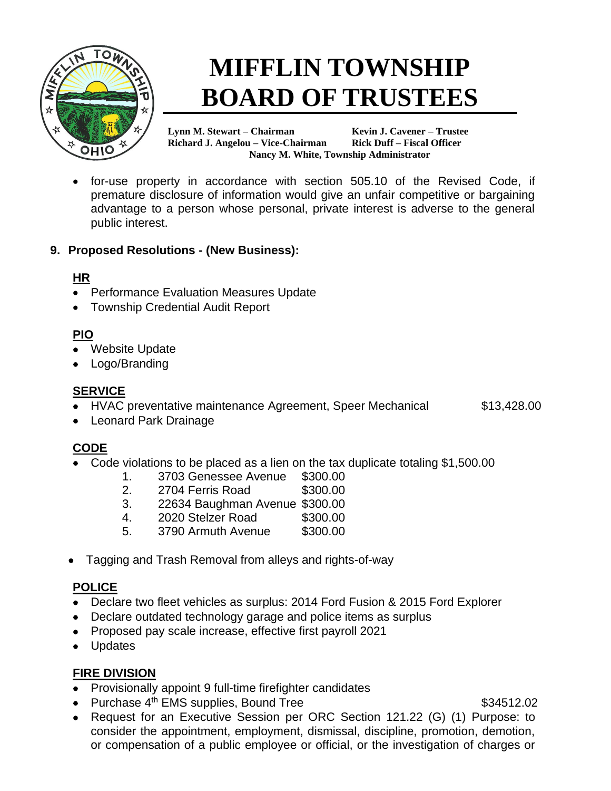

# **MIFFLIN TOWNSHIP BOARD OF TRUSTEES**

**Lynn M. Stewart – Chairman Kevin J. Cavener – Trustee Richard J. Angelou – Vice-Chairman Rick Duff – Fiscal Officer Nancy M. White, Township Administrator**

• for-use property in accordance with section 505.10 of the Revised Code, if premature disclosure of information would give an unfair competitive or bargaining advantage to a person whose personal, private interest is adverse to the general public interest.

#### **9. Proposed Resolutions - (New Business):**

#### **HR**

- Performance Evaluation Measures Update
- Township Credential Audit Report

# **PIO**

- Website Update
- Logo/Branding

## **SERVICE**

• HVAC preventative maintenance Agreement, Speer Mechanical \$13,428.00

• Leonard Park Drainage

# **CODE**

- Code violations to be placed as a lien on the tax duplicate totaling \$1,500.00
	- 1. 3703 Genessee Avenue \$300.00
	- 2. 2704 Ferris Road \$300.00
	- 3. 22634 Baughman Avenue \$300.00
	- 4. 2020 Stelzer Road \$300.00
	- 5. 3790 Armuth Avenue \$300.00
- Tagging and Trash Removal from alleys and rights-of-way

# **POLICE**

- Declare two fleet vehicles as surplus: 2014 Ford Fusion & 2015 Ford Explorer
- Declare outdated technology garage and police items as surplus
- Proposed pay scale increase, effective first payroll 2021
- Updates

### **FIRE DIVISION**

- Provisionally appoint 9 full-time firefighter candidates
- Purchase  $4<sup>th</sup>$  EMS supplies, Bound Tree  $$34512.02$

• Request for an Executive Session per ORC Section 121.22 (G) (1) Purpose: to consider the appointment, employment, dismissal, discipline, promotion, demotion, or compensation of a public employee or official, or the investigation of charges or